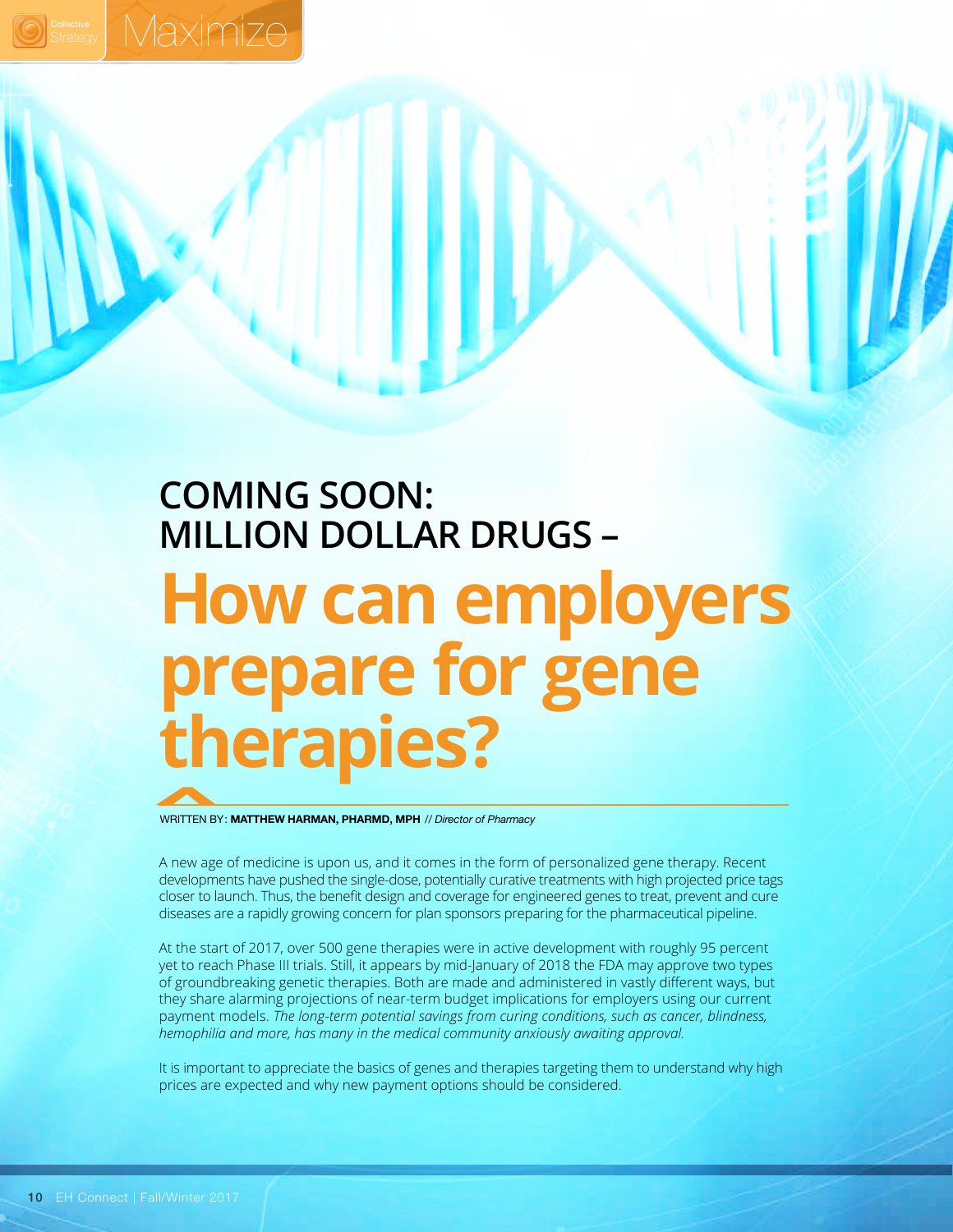

# **COMING SOON: MILLION DOLLAR DRUGS – How can employers prepare for gene therapies?**

WRITTEN BY: **MATTHEW HARMAN, PHARMD, MPH** // *Director of Pharmacy*

A new age of medicine is upon us, and it comes in the form of personalized gene therapy. Recent developments have pushed the single-dose, potentially curative treatments with high projected price tags closer to launch. Thus, the benefit design and coverage for engineered genes to treat, prevent and cure diseases are a rapidly growing concern for plan sponsors preparing for the pharmaceutical pipeline.

At the start of 2017, over 500 gene therapies were in active development with roughly 95 percent yet to reach Phase III trials. Still, it appears by mid-January of 2018 the FDA may approve two types of groundbreaking genetic therapies. Both are made and administered in vastly different ways, but they share alarming projections of near-term budget implications for employers using our current payment models. *The long-term potential savings from curing conditions, such as cancer, blindness, hemophilia and more, has many in the medical community anxiously awaiting approval.*

It is important to appreciate the basics of genes and therapies targeting them to understand why high prices are expected and why new payment options should be considered.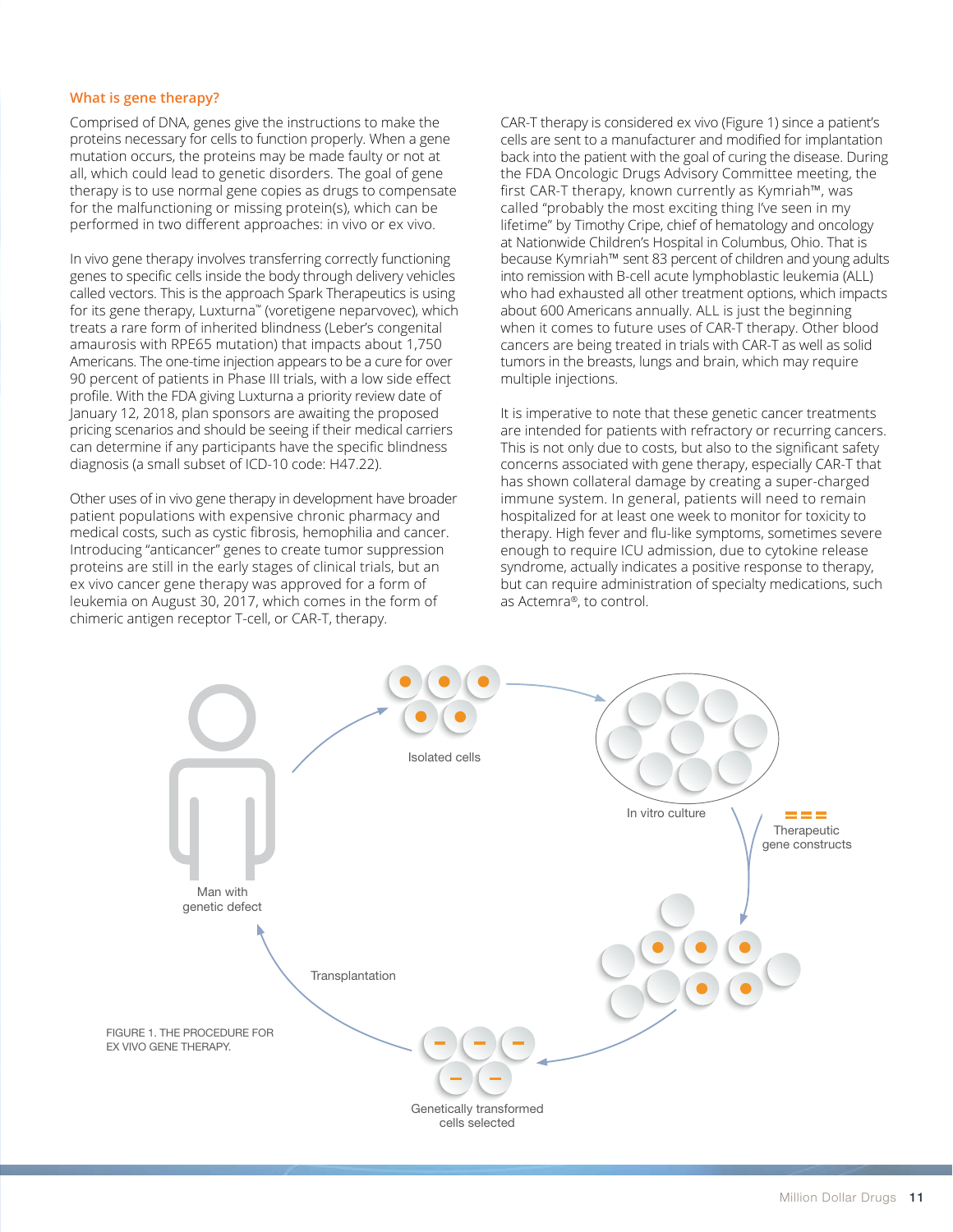### **What is gene therapy?**

Comprised of DNA, genes give the instructions to make the proteins necessary for cells to function properly. When a gene mutation occurs, the proteins may be made faulty or not at all, which could lead to genetic disorders. The goal of gene therapy is to use normal gene copies as drugs to compensate for the malfunctioning or missing protein(s), which can be performed in two different approaches: in vivo or ex vivo.

In vivo gene therapy involves transferring correctly functioning genes to specific cells inside the body through delivery vehicles called vectors. This is the approach Spark Therapeutics is using for its gene therapy, Luxturna™ (voretigene neparvovec), which treats a rare form of inherited blindness (Leber's congenital amaurosis with RPE65 mutation) that impacts about 1,750 Americans. The one-time injection appears to be a cure for over 90 percent of patients in Phase III trials, with a low side effect profile. With the FDA giving Luxturna a priority review date of January 12, 2018, plan sponsors are awaiting the proposed pricing scenarios and should be seeing if their medical carriers can determine if any participants have the specific blindness diagnosis (a small subset of ICD-10 code: H47.22).

Other uses of in vivo gene therapy in development have broader patient populations with expensive chronic pharmacy and medical costs, such as cystic fibrosis, hemophilia and cancer. Introducing "anticancer" genes to create tumor suppression proteins are still in the early stages of clinical trials, but an ex vivo cancer gene therapy was approved for a form of leukemia on August 30, 2017, which comes in the form of chimeric antigen receptor T-cell, or CAR-T, therapy.

CAR-T therapy is considered ex vivo (Figure 1) since a patient's cells are sent to a manufacturer and modified for implantation back into the patient with the goal of curing the disease. During the FDA Oncologic Drugs Advisory Committee meeting, the first CAR-T therapy, known currently as Kymriah™, was called "probably the most exciting thing I've seen in my lifetime" by Timothy Cripe, chief of hematology and oncology at Nationwide Children's Hospital in Columbus, Ohio. That is because Kymriah™ sent 83 percent of children and young adults into remission with B-cell acute lymphoblastic leukemia (ALL) who had exhausted all other treatment options, which impacts about 600 Americans annually. ALL is just the beginning when it comes to future uses of CAR-T therapy. Other blood cancers are being treated in trials with CAR-T as well as solid tumors in the breasts, lungs and brain, which may require multiple injections.

It is imperative to note that these genetic cancer treatments are intended for patients with refractory or recurring cancers. This is not only due to costs, but also to the significant safety concerns associated with gene therapy, especially CAR-T that has shown collateral damage by creating a super-charged immune system. In general, patients will need to remain hospitalized for at least one week to monitor for toxicity to therapy. High fever and flu-like symptoms, sometimes severe enough to require ICU admission, due to cytokine release syndrome, actually indicates a positive response to therapy, but can require administration of specialty medications, such as Actemra®, to control.